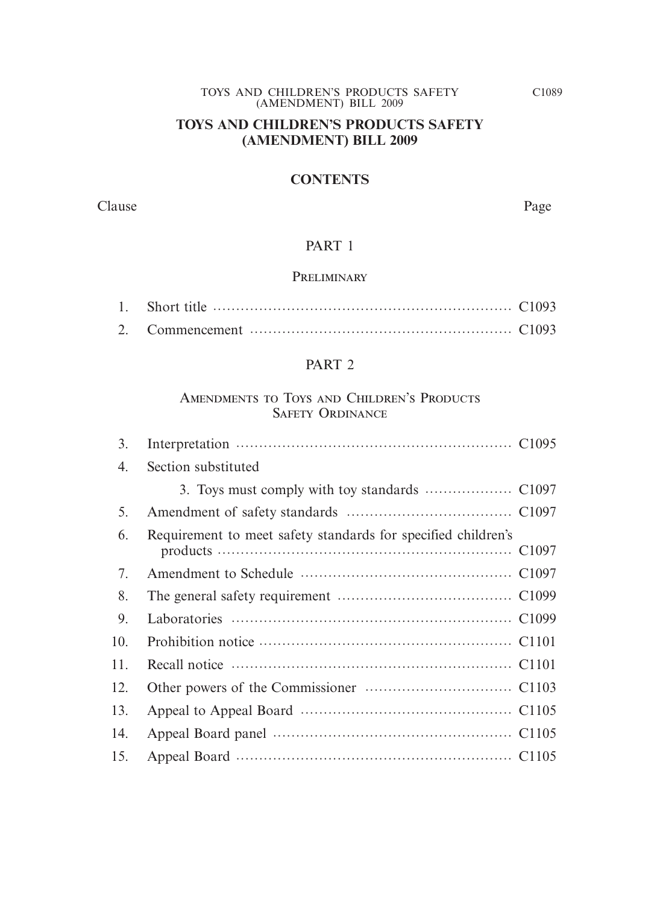### **TOYS AND CHILDREN'S PRODUCTS SAFETY (AMENDMENT) BILL 2009**

#### **CONTENTS**

Clause Page

#### PART 1

#### **PRELIMINARY**

#### PART 2

# Amendments to Toys and Children's Products Safety Ordinance

| 3.  |                                                               |  |
|-----|---------------------------------------------------------------|--|
| 4.  | Section substituted                                           |  |
|     |                                                               |  |
| 5.  |                                                               |  |
| 6.  | Requirement to meet safety standards for specified children's |  |
| 7.  |                                                               |  |
| 8.  |                                                               |  |
| 9.  |                                                               |  |
| 10. |                                                               |  |
| 11. |                                                               |  |
| 12. |                                                               |  |
| 13. |                                                               |  |
| 14. |                                                               |  |
| 15. |                                                               |  |
|     |                                                               |  |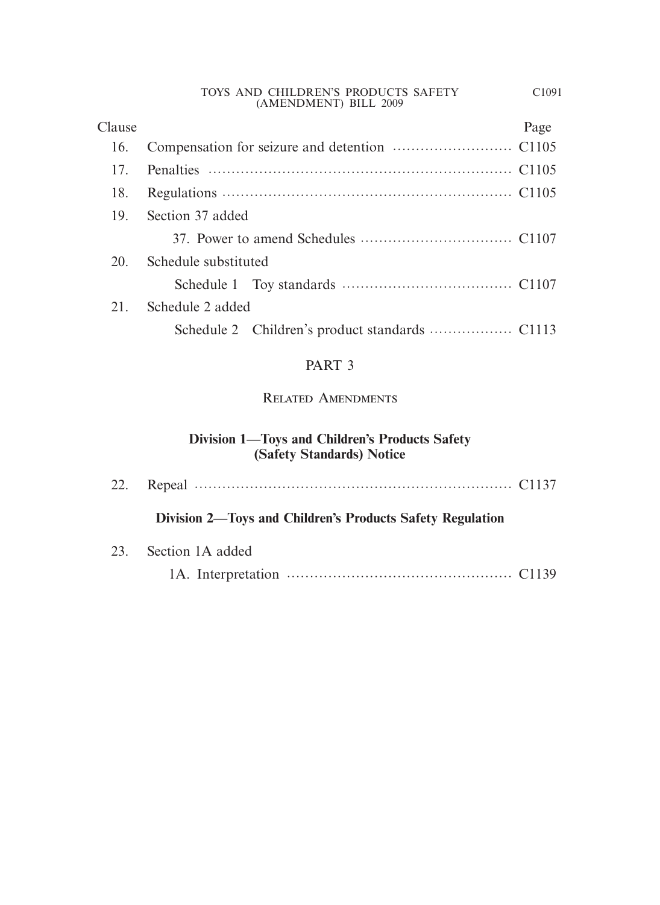| Clause |                      | Page |
|--------|----------------------|------|
| 16.    |                      |      |
| 17     |                      |      |
| 18.    |                      |      |
| 19.    | Section 37 added     |      |
|        |                      |      |
| 20.    | Schedule substituted |      |
|        |                      |      |
| 21.    | Schedule 2 added     |      |
|        |                      |      |
|        |                      |      |

# PART 3

# Related Amendments

# **Division 1—Toys and Children's Products Safety (Safety Standards) Notice**

| Division 2—Toys and Children's Products Safety Regulation |  |
|-----------------------------------------------------------|--|
| 23. Section 1A added                                      |  |
|                                                           |  |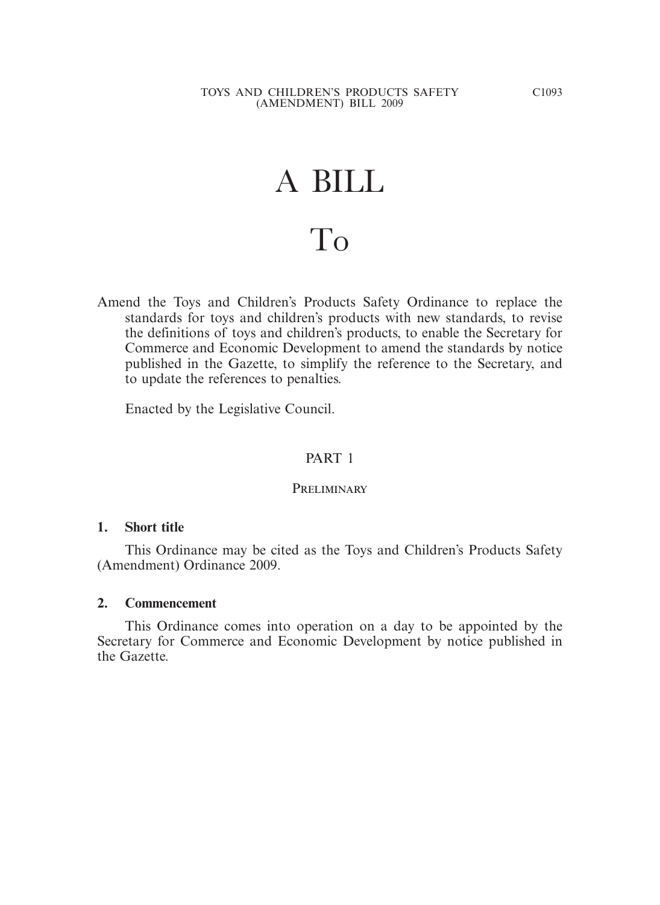# A BILL To

Amend the Toys and Children's Products Safety Ordinance to replace the standards for toys and children's products with new standards, to revise the definitions of toys and children's products, to enable the Secretary for Commerce and Economic Development to amend the standards by notice published in the Gazette, to simplify the reference to the Secretary, and to update the references to penalties.

Enacted by the Legislative Council.

#### PART 1

#### PRELIMINARY

#### **1. Short title**

 This Ordinance may be cited as the Toys and Children's Products Safety (Amendment) Ordinance 2009.

#### **2. Commencement**

 This Ordinance comes into operation on a day to be appointed by the Secretary for Commerce and Economic Development by notice published in the Gazette.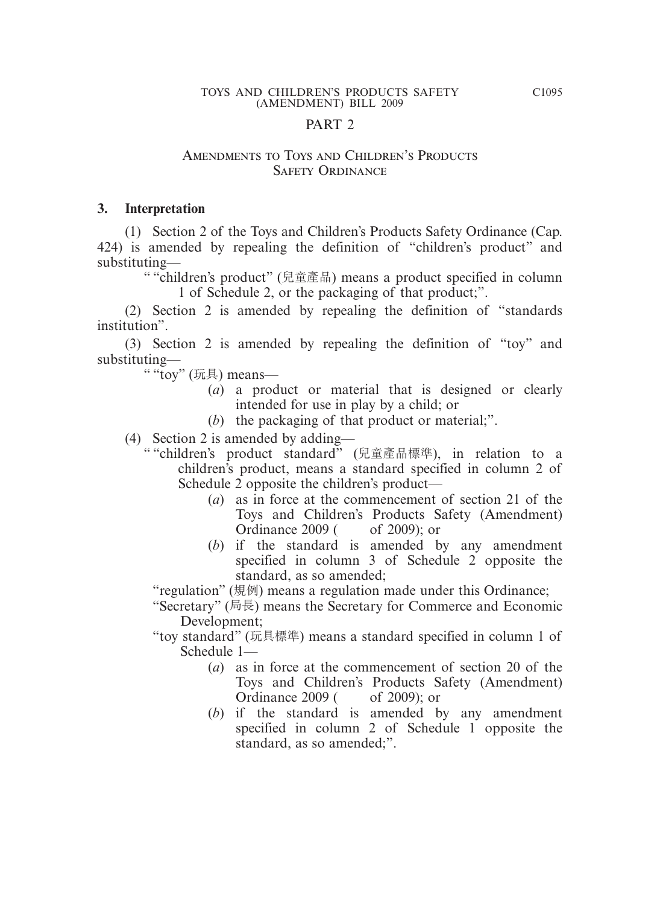#### PART 2

#### Amendments to Toys and Children's Products Safety Ordinance

#### **3. Interpretation**

 (1) Section 2 of the Toys and Children's Products Safety Ordinance (Cap. 424) is amended by repealing the definition of "children's product" and substituting—

" "children's product" (兒童產品) means a product specified in column 1 of Schedule 2, or the packaging of that product;".

 (2) Section 2 is amended by repealing the definition of "standards institution".

 (3) Section 2 is amended by repealing the definition of "toy" and substituting—

" "toy" (玩具) means—

- (*a*) a product or material that is designed or clearly intended for use in play by a child; or
- (*b*) the packaging of that product or material;".
- (4) Section 2 is amended by adding—
	- " "children's product standard" (兒童產品標準), in relation to a children's product, means a standard specified in column 2 of Schedule 2 opposite the children's product—
		- (*a*) as in force at the commencement of section 21 of the Toys and Children's Products Safety (Amendment) Ordinance 2009 ( of 2009); or
		- (*b*) if the standard is amended by any amendment specified in column 3 of Schedule 2 opposite the standard, as so amended;

"regulation" (規例) means a regulation made under this Ordinance;

"Secretary" (局長) means the Secretary for Commerce and Economic Development;

- "toy standard" (玩具標準) means a standard specified in column 1 of Schedule 1—
	- (*a*) as in force at the commencement of section 20 of the Toys and Children's Products Safety (Amendment) Ordinance 2009 ( of 2009); or
	- (*b*) if the standard is amended by any amendment specified in column 2 of Schedule 1 opposite the standard, as so amended;".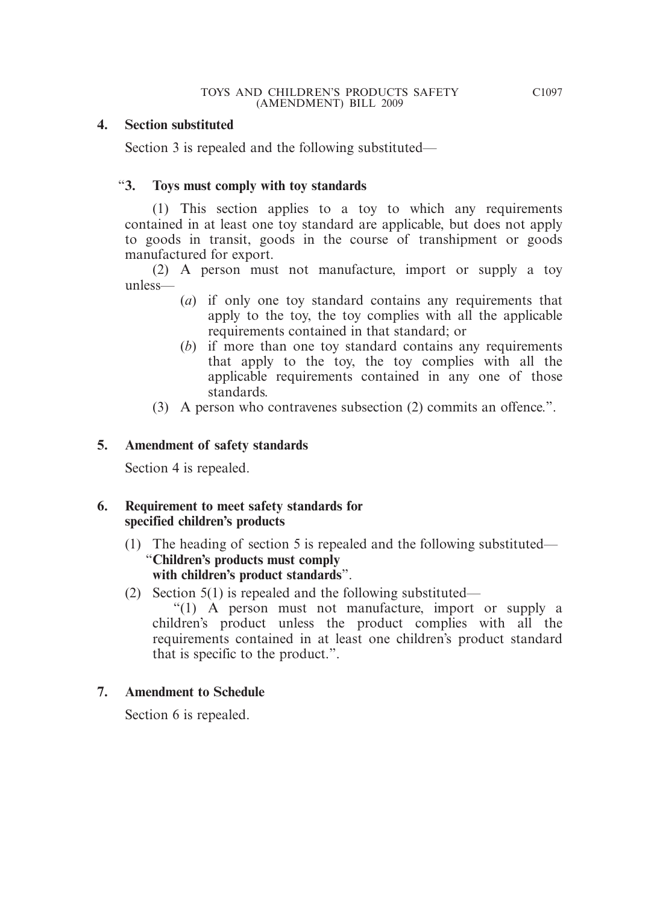#### **4. Section substituted**

Section 3 is repealed and the following substituted—

#### "**3. Toys must comply with toy standards**

 (1) This section applies to a toy to which any requirements contained in at least one toy standard are applicable, but does not apply to goods in transit, goods in the course of transhipment or goods manufactured for export.

 (2) A person must not manufacture, import or supply a toy unless—

- (*a*) if only one toy standard contains any requirements that apply to the toy, the toy complies with all the applicable requirements contained in that standard; or
- (*b*) if more than one toy standard contains any requirements that apply to the toy, the toy complies with all the applicable requirements contained in any one of those standards.
- (3) A person who contravenes subsection (2) commits an offence.".

#### **5. Amendment of safety standards**

Section 4 is repealed.

#### **6. Requirement to meet safety standards for specified children's products**

- (1) The heading of section 5 is repealed and the following substituted— "**Children's products must comply with children's product standards**".
- (2) Section 5(1) is repealed and the following substituted—

 "(1) A person must not manufacture, import or supply a children's product unless the product complies with all the requirements contained in at least one children's product standard that is specific to the product.".

#### **7. Amendment to Schedule**

Section 6 is repealed.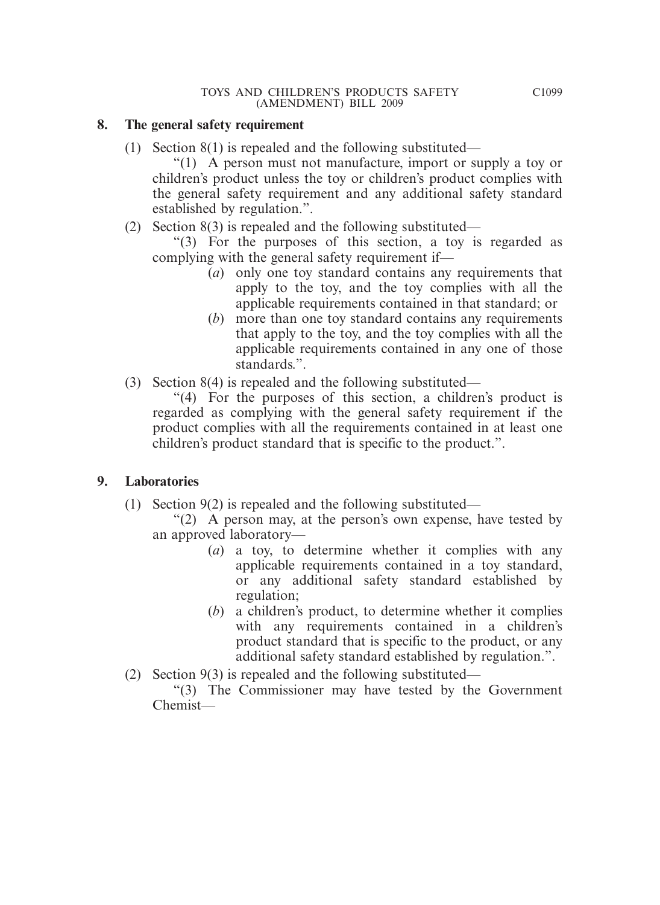#### **8. The general safety requirement**

(1) Section 8(1) is repealed and the following substituted—

 "(1) A person must not manufacture, import or supply a toy or children's product unless the toy or children's product complies with the general safety requirement and any additional safety standard established by regulation.".

(2) Section 8(3) is repealed and the following substituted—

 "(3) For the purposes of this section, a toy is regarded as complying with the general safety requirement if—

- (*a*) only one toy standard contains any requirements that apply to the toy, and the toy complies with all the applicable requirements contained in that standard; or
- (*b*) more than one toy standard contains any requirements that apply to the toy, and the toy complies with all the applicable requirements contained in any one of those standards.".
- (3) Section 8(4) is repealed and the following substituted—

 "(4) For the purposes of this section, a children's product is regarded as complying with the general safety requirement if the product complies with all the requirements contained in at least one children's product standard that is specific to the product.".

#### **9. Laboratories**

- (1) Section 9(2) is repealed and the following substituted—
	- "(2) A person may, at the person's own expense, have tested by an approved laboratory—
		- (*a*) a toy, to determine whether it complies with any applicable requirements contained in a toy standard, or any additional safety standard established by regulation;
		- (*b*) a children's product, to determine whether it complies with any requirements contained in a children's product standard that is specific to the product, or any additional safety standard established by regulation.".
- (2) Section 9(3) is repealed and the following substituted—

 "(3) The Commissioner may have tested by the Government Chemist—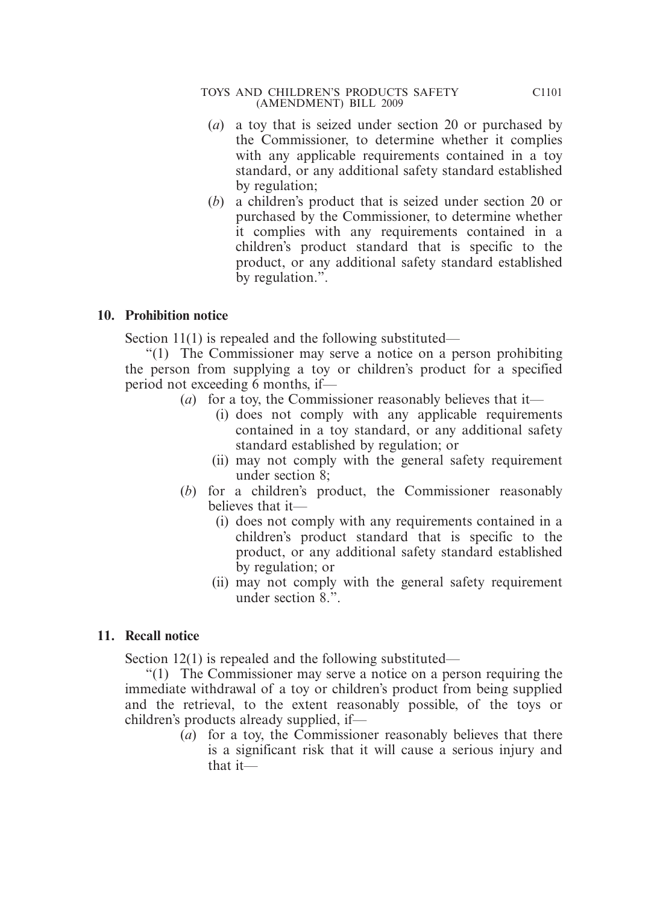- (*a*) a toy that is seized under section 20 or purchased by the Commissioner, to determine whether it complies with any applicable requirements contained in a toy standard, or any additional safety standard established by regulation;
- (*b*) a children's product that is seized under section 20 or purchased by the Commissioner, to determine whether it complies with any requirements contained in a children's product standard that is specific to the product, or any additional safety standard established by regulation.".

#### **10. Prohibition notice**

Section 11(1) is repealed and the following substituted—

 "(1) The Commissioner may serve a notice on a person prohibiting the person from supplying a toy or children's product for a specified period not exceeding 6 months, if—

- (*a*) for a toy, the Commissioner reasonably believes that it—
	- (i) does not comply with any applicable requirements contained in a toy standard, or any additional safety standard established by regulation; or
	- (ii) may not comply with the general safety requirement under section 8;
- (*b*) for a children's product, the Commissioner reasonably believes that it—
	- (i) does not comply with any requirements contained in a children's product standard that is specific to the product, or any additional safety standard established by regulation; or
	- (ii) may not comply with the general safety requirement under section 8.".

# **11. Recall notice**

Section 12(1) is repealed and the following substituted—

 "(1) The Commissioner may serve a notice on a person requiring the immediate withdrawal of a toy or children's product from being supplied and the retrieval, to the extent reasonably possible, of the toys or children's products already supplied, if—

(*a*) for a toy, the Commissioner reasonably believes that there is a significant risk that it will cause a serious injury and that it—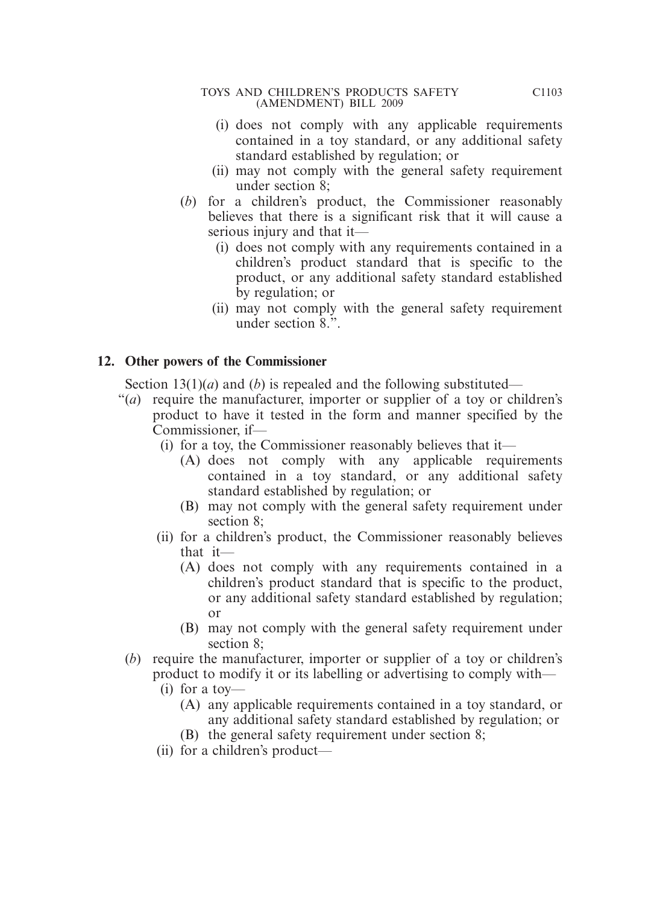- (i) does not comply with any applicable requirements contained in a toy standard, or any additional safety standard established by regulation; or
- (ii) may not comply with the general safety requirement under section 8;
- (*b*) for a children's product, the Commissioner reasonably believes that there is a significant risk that it will cause a serious injury and that it—
	- (i) does not comply with any requirements contained in a children's product standard that is specific to the product, or any additional safety standard established by regulation; or
	- (ii) may not comply with the general safety requirement under section 8.".

# **12. Other powers of the Commissioner**

Section 13(1)(*a*) and (*b*) is repealed and the following substituted—

- "(*a*) require the manufacturer, importer or supplier of a toy or children's product to have it tested in the form and manner specified by the Commissioner, if—
	- (i) for a toy, the Commissioner reasonably believes that it—
		- (A) does not comply with any applicable requirements contained in a toy standard, or any additional safety standard established by regulation; or
		- (B) may not comply with the general safety requirement under section 8;
	- (ii) for a children's product, the Commissioner reasonably believes that it—
		- (A) does not comply with any requirements contained in a children's product standard that is specific to the product, or any additional safety standard established by regulation; or
		- (B) may not comply with the general safety requirement under section 8;
	- (*b*) require the manufacturer, importer or supplier of a toy or children's product to modify it or its labelling or advertising to comply with—
		- (i) for a toy—
			- (A) any applicable requirements contained in a toy standard, or any additional safety standard established by regulation; or
			- (B) the general safety requirement under section 8;
		- (ii) for a children's product—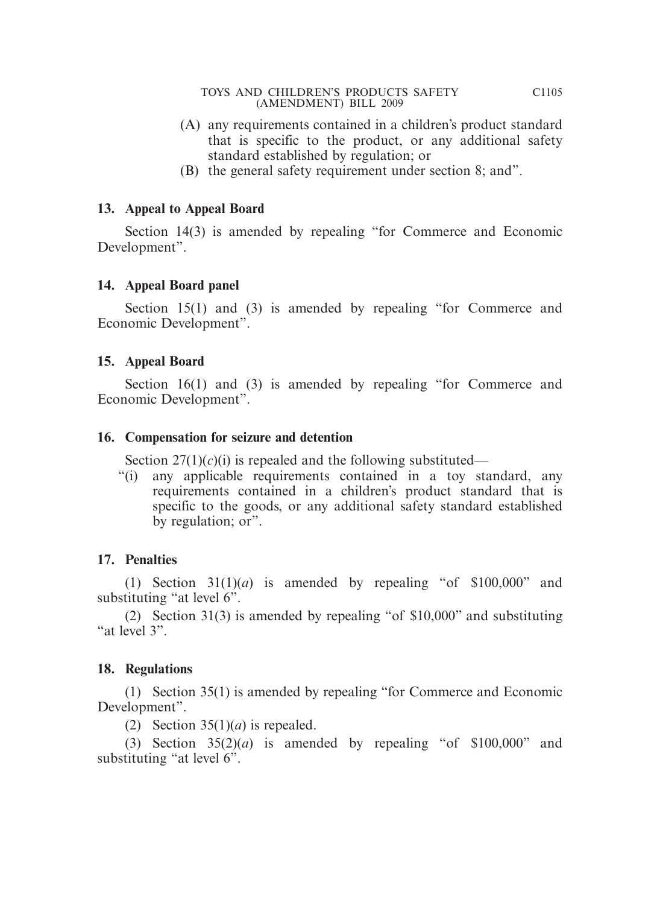- (A) any requirements contained in a children's product standard that is specific to the product, or any additional safety standard established by regulation; or
- (B) the general safety requirement under section 8; and".

# **13. Appeal to Appeal Board**

 Section 14(3) is amended by repealing "for Commerce and Economic Development".

# **14. Appeal Board panel**

Section 15(1) and (3) is amended by repealing "for Commerce and Economic Development".

# **15. Appeal Board**

Section 16(1) and (3) is amended by repealing "for Commerce and Economic Development".

# **16. Compensation for seizure and detention**

Section  $27(1)(c)(i)$  is repealed and the following substituted—

"(i) any applicable requirements contained in a toy standard, any requirements contained in a children's product standard that is specific to the goods, or any additional safety standard established by regulation; or".

# **17. Penalties**

(1) Section  $31(1)(a)$  is amended by repealing "of  $$100,000$ " and substituting "at level 6".

 (2) Section 31(3) is amended by repealing "of \$10,000" and substituting "at level 3".

# **18. Regulations**

 (1) Section 35(1) is amended by repealing "for Commerce and Economic Development".

(2) Section  $35(1)(a)$  is repealed.

(3) Section  $35(2)(a)$  is amended by repealing "of  $$100,000$ " and substituting "at level 6".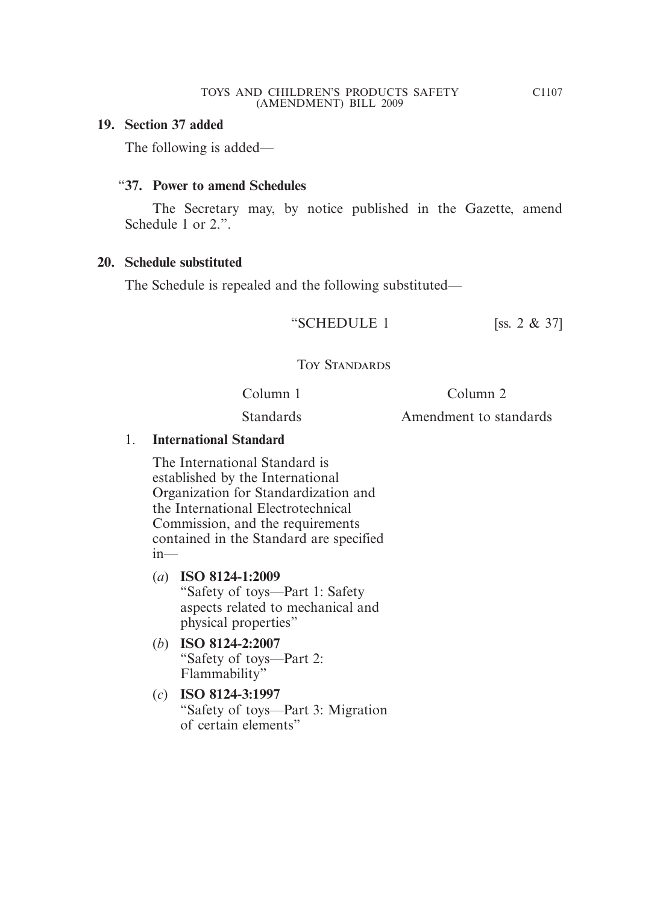#### **19. Section 37 added**

The following is added—

#### "**37. Power to amend Schedules**

 The Secretary may, by notice published in the Gazette, amend Schedule 1 or 2.".

#### **20. Schedule substituted**

The Schedule is repealed and the following substituted—

"SCHEDULE 1 [ss.  $2 \& 37$ ]

# Toy Standards

Column 1

Column 2

Standards

Amendment to standards

#### 1. **International Standard**

The International Standard is established by the International Organization for Standardization and the International Electrotechnical Commission, and the requirements contained in the Standard are specified in—

- (*a*) **ISO 8124-1:2009**  "Safety of toys—Part 1: Safety aspects related to mechanical and physical properties"
- (*b*) **ISO 8124-2:2007**  "Safety of toys—Part 2: Flammability"
- (*c*) **ISO 8124-3:1997** "Safety of toys—Part 3: Migration of certain elements"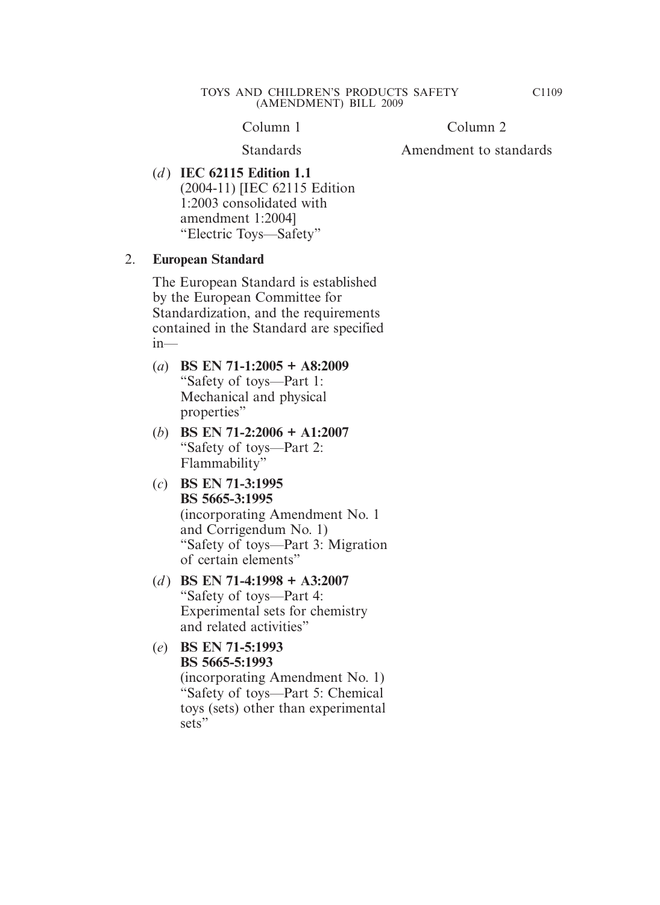Column 1

Column 2

**Standards** 

Amendment to standards

(*d* ) **IEC 62115 Edition 1.1** (2004-11) [IEC 62115 Edition 1:2003 consolidated with amendment 1:2004] "Electric Toys—Safety"

#### 2. **European Standard**

The European Standard is established by the European Committee for Standardization, and the requirements contained in the Standard are specified  $in—$ 

- (*a*) **BS EN 71-1:2005 + A8:2009** "Safety of toys—Part 1: Mechanical and physical properties"
- (*b*) **BS EN 71-2:2006 + A1:2007** "Safety of toys—Part 2: Flammability"
- (*c*) **BS EN 71-3:1995 BS 5665-3:1995** (incorporating Amendment No. 1 and Corrigendum No. 1) "Safety of toys—Part 3: Migration of certain elements"
- (*d* ) **BS EN 71-4:1998 + A3:2007** "Safety of toys—Part 4: Experimental sets for chemistry and related activities"
- (*e*) **BS EN 71-5:1993 BS 5665-5:1993** (incorporating Amendment No. 1) "Safety of toys—Part 5: Chemical toys (sets) other than experimental sets"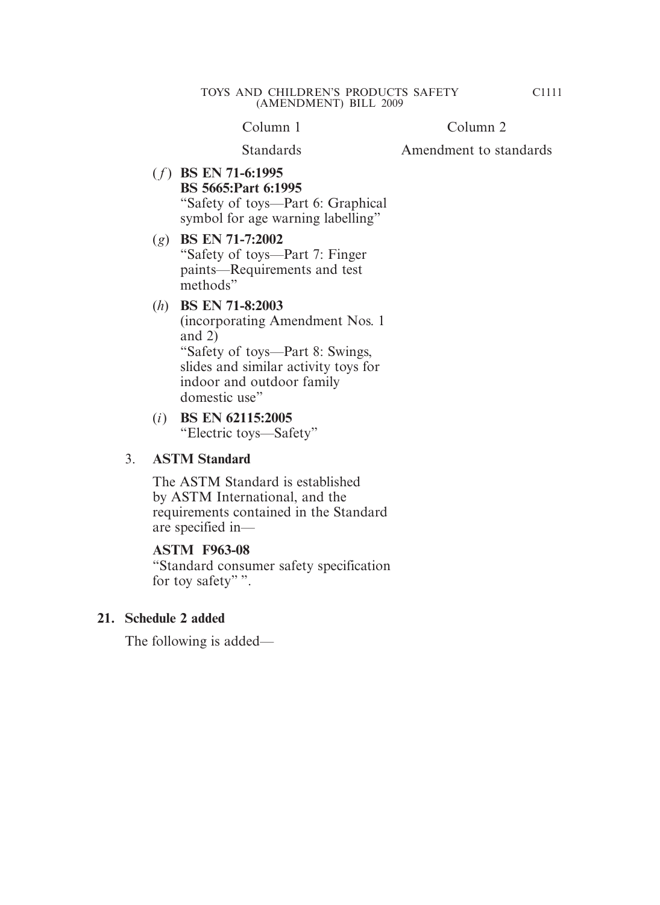Column 1

Column 2

Standards

Amendment to standards

( *f* ) **BS EN 71-6:1995 BS 5665:Part 6:1995** "Safety of toys—Part 6: Graphical symbol for age warning labelling"

#### (*g*) **BS EN 71-7:2002** "Safety of toys—Part 7: Finger paints—Requirements and test methods"

#### (*h*) **BS EN 71-8:2003**

(incorporating Amendment Nos. 1 and 2) "Safety of toys—Part 8: Swings, slides and similar activity toys for indoor and outdoor family domestic use"

#### (*i*) **BS EN 62115:2005** "Electric toys—Safety"

#### 3. **ASTM Standard**

The ASTM Standard is established by ASTM International, and the requirements contained in the Standard are specified in—

#### **ASTM F963-08**

"Standard consumer safety specification for toy safety"".

#### **21. Schedule 2 added**

The following is added—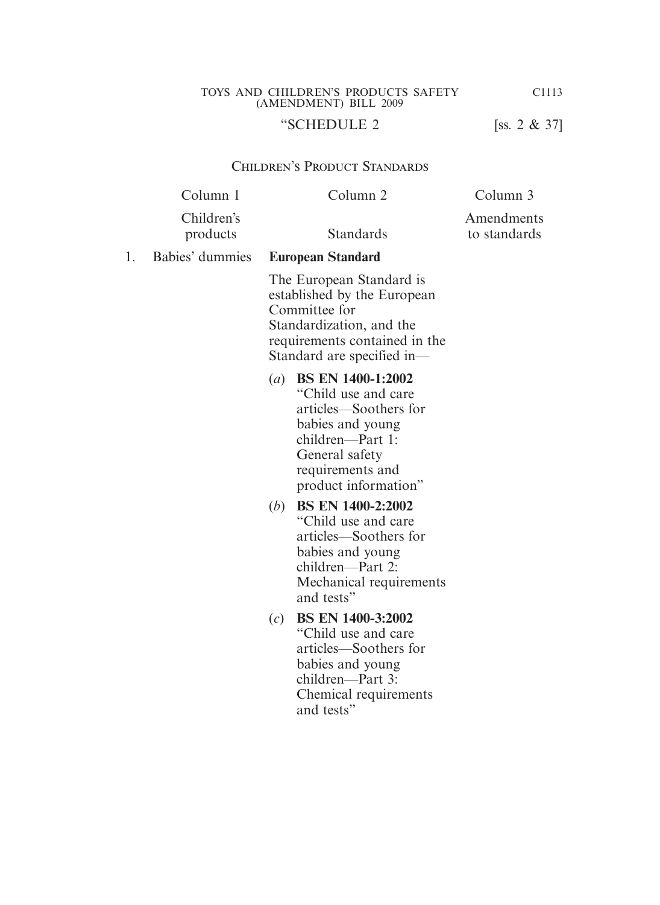# "SCHEDULE 2 [ss. 2 & 37]

#### Children's Product Standards

| Column <sub>2</sub>                                                                                                                                                          | Column 3                   |
|------------------------------------------------------------------------------------------------------------------------------------------------------------------------------|----------------------------|
| Standards                                                                                                                                                                    | Amendments<br>to standards |
| <b>European Standard</b>                                                                                                                                                     |                            |
| The European Standard is<br>established by the European<br>Committee for<br>Standardization, and the<br>requirements contained in the<br>Standard are specified in-          |                            |
| (a) BS EN 1400-1:2002<br>"Child use and care"<br>articles—Soothers for<br>babies and young<br>children—Part 1:<br>General safety<br>requirements and<br>product information" |                            |
| <b>BS EN 1400-2:2002</b><br>(b)<br>"Child use and care"<br>articles—Soothers for<br>babies and young<br>children—Part 2:<br>Mechanical requirements<br>and tests"            |                            |
| <b>BS EN 1400-3:2002</b><br>(c)<br>"Child use and care"<br>articles—Soothers for<br>babies and young<br>children—Part 3:<br>Chemical requirements<br>and tests"              |                            |
|                                                                                                                                                                              |                            |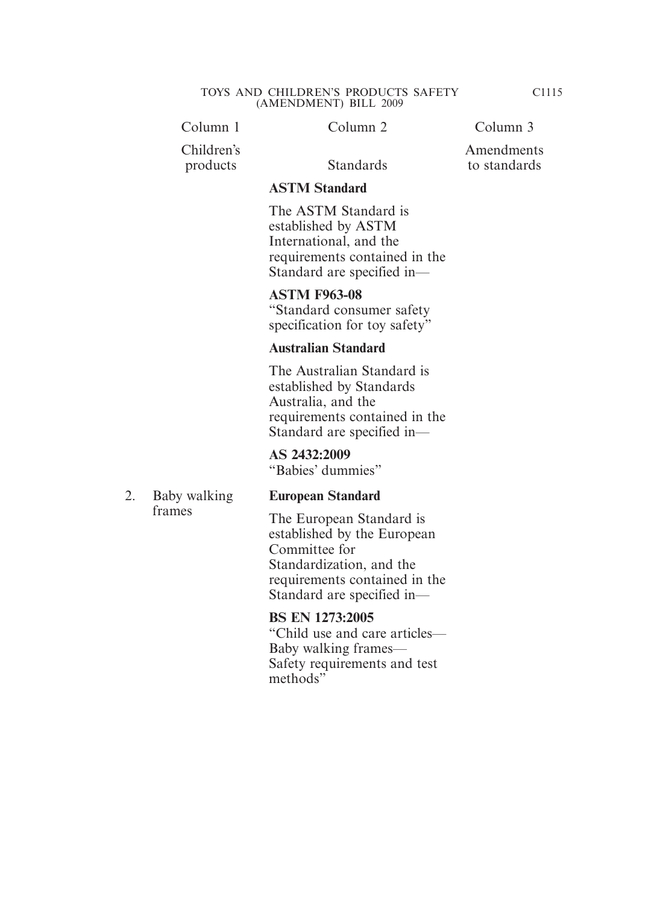Column 1 Column 2 Column 3

# Children's

Amendments

to standards

products Standards

2. Baby walking frames

### **ASTM Standard**

The ASTM Standard is established by ASTM International, and the requirements contained in the Standard are specified in—

#### **ASTM F963-08**

"Standard consumer safety specification for toy safety"

#### **Australian Standard**

The Australian Standard is established by Standards Australia, and the requirements contained in the Standard are specified in—

**AS 2432:2009** "Babies' dummies"

# **European Standard**

The European Standard is established by the European Committee for Standardization, and the requirements contained in the Standard are specified in—

#### **BS EN 1273:2005**

"Child use and care articles— Baby walking frames— Safety requirements and test methods"

C1115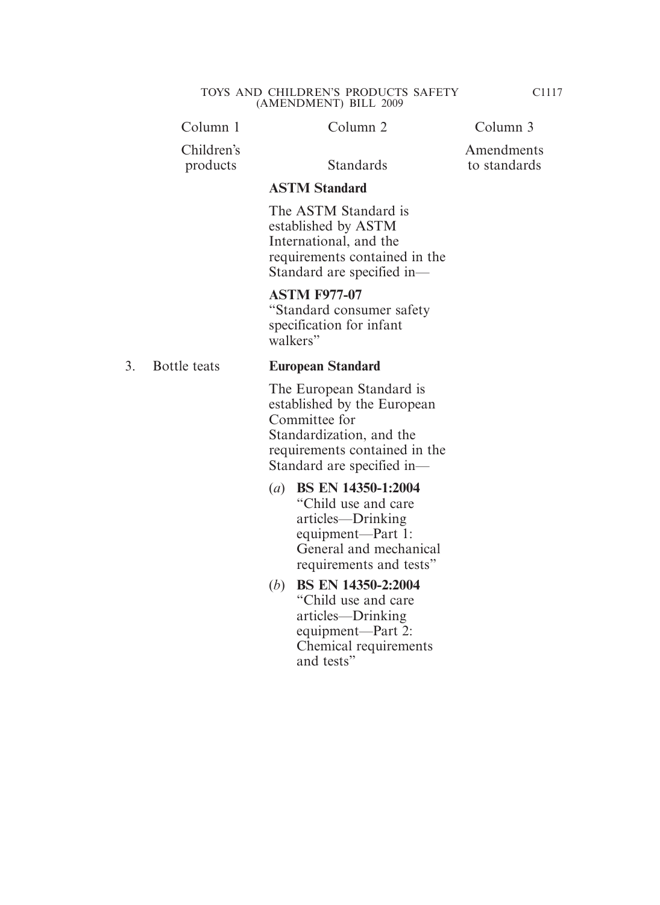|    | Column 1               | Column <sub>2</sub>                                                                                                                                                 | Column 3                   |
|----|------------------------|---------------------------------------------------------------------------------------------------------------------------------------------------------------------|----------------------------|
|    | Children's<br>products | <b>Standards</b>                                                                                                                                                    | Amendments<br>to standards |
|    |                        | <b>ASTM Standard</b>                                                                                                                                                |                            |
|    |                        | The ASTM Standard is<br>established by ASTM<br>International, and the<br>requirements contained in the<br>Standard are specified in-                                |                            |
|    |                        | <b>ASTM F977-07</b><br>"Standard consumer safety"<br>specification for infant<br>walkers"                                                                           |                            |
| 3. | Bottle teats           | <b>European Standard</b>                                                                                                                                            |                            |
|    |                        | The European Standard is<br>established by the European<br>Committee for<br>Standardization, and the<br>requirements contained in the<br>Standard are specified in- |                            |
|    |                        | BS EN 14350-1:2004<br>$\left( a\right)$<br>"Child use and care"<br>articles—Drinking<br>equipment—Part 1:<br>General and mechanical                                 |                            |

requirements and tests"

Chemical requirements

(*b*) **BS EN 14350-2:2004** "Child use and care articles—Drinking equipment—Part 2:

and tests"

C1117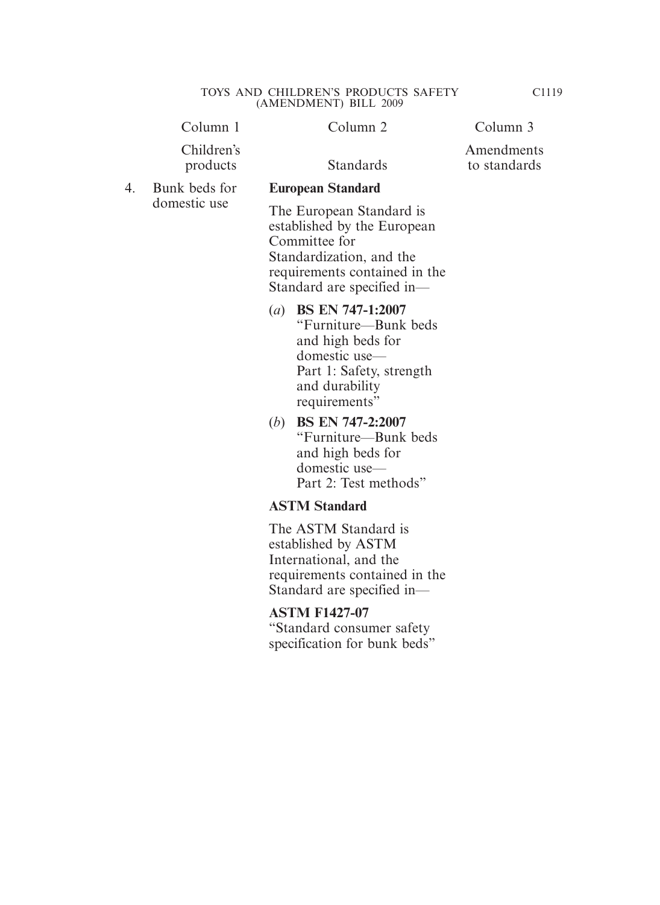|    | Column 1                      | Column <sub>2</sub>                                                                                                                                                 | Column 3                   |
|----|-------------------------------|---------------------------------------------------------------------------------------------------------------------------------------------------------------------|----------------------------|
|    | Children's<br>products        | <b>Standards</b>                                                                                                                                                    | Amendments<br>to standards |
| 4. | Bunk beds for<br>domestic use | <b>European Standard</b>                                                                                                                                            |                            |
|    |                               | The European Standard is<br>established by the European<br>Committee for<br>Standardization, and the<br>requirements contained in the<br>Standard are specified in- |                            |
|    |                               | (a) BS EN 747-1:2007<br>"Furniture—Bunk beds<br>and high beds for<br>domestic use-<br>Part 1: Safety, strength<br>and durability<br>requirements"                   |                            |
|    |                               | <b>BS EN 747-2:2007</b><br>( <i>b</i> )<br>"Furniture—Bunk beds<br>and high beds for<br>domestic use-<br>Part 2: Test methods"                                      |                            |
|    |                               | <b>ASTM Standard</b>                                                                                                                                                |                            |
|    |                               | The ASTM Standard is                                                                                                                                                |                            |

established by ASTM International, and the requirements contained in the Standard are specified in—

# **ASTM F1427-07** "Standard consumer safety specification for bunk beds"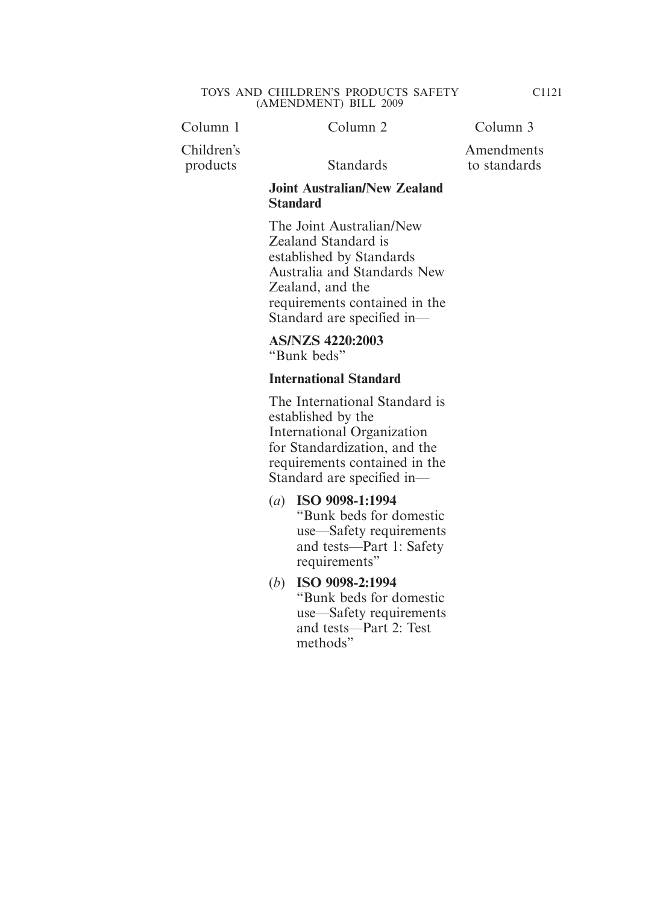Column 1 Column 2 Column 3

Children's

products Standards

#### Amendments to standards

#### **Joint Australian/New Zealand Standard**

The Joint Australian/New Zealand Standard is established by Standards Australia and Standards New Zealand, and the requirements contained in the Standard are specified in—

**AS/NZS 4220:2003** "Bunk beds"

# **International Standard**

The International Standard is established by the International Organization for Standardization, and the requirements contained in the Standard are specified in—

- (*a*) **ISO 9098-1:1994** "Bunk beds for domestic use—Safety requirements and tests—Part 1: Safety requirements"
- (*b*) **ISO 9098-2:1994** "Bunk beds for domestic use—Safety requirements and tests—Part 2: Test methods"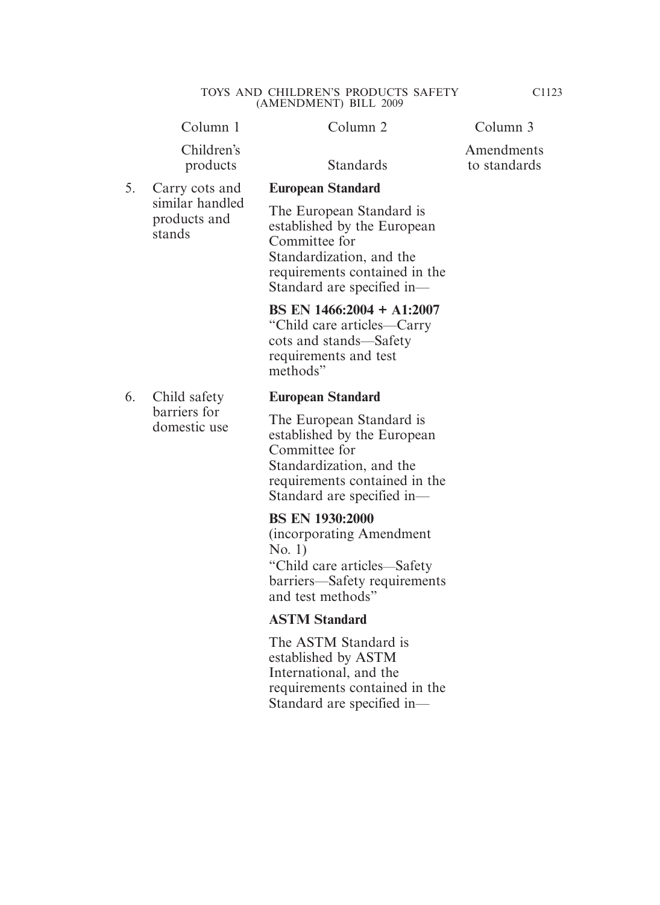Column 1 Column 2 Column 3

Children's products Standards

5. Carry cots and similar handled products and stands

6. Child safety barriers for domestic use

**Amendments** to standards

**European Standard**

The European Standard is established by the European Committee for Standardization, and the requirements contained in the Standard are specified in—

#### **BS EN 1466:2004 + A1:2007**

"Child care articles—Carry cots and stands—Safety requirements and test methods"

#### **European Standard**

The European Standard is established by the European Committee for Standardization, and the requirements contained in the Standard are specified in—

#### **BS EN 1930:2000**

(incorporating Amendment No. 1) "Child care articles—Safety barriers—Safety requirements and test methods"

# **ASTM Standard**

The ASTM Standard is established by ASTM International, and the requirements contained in the Standard are specified in—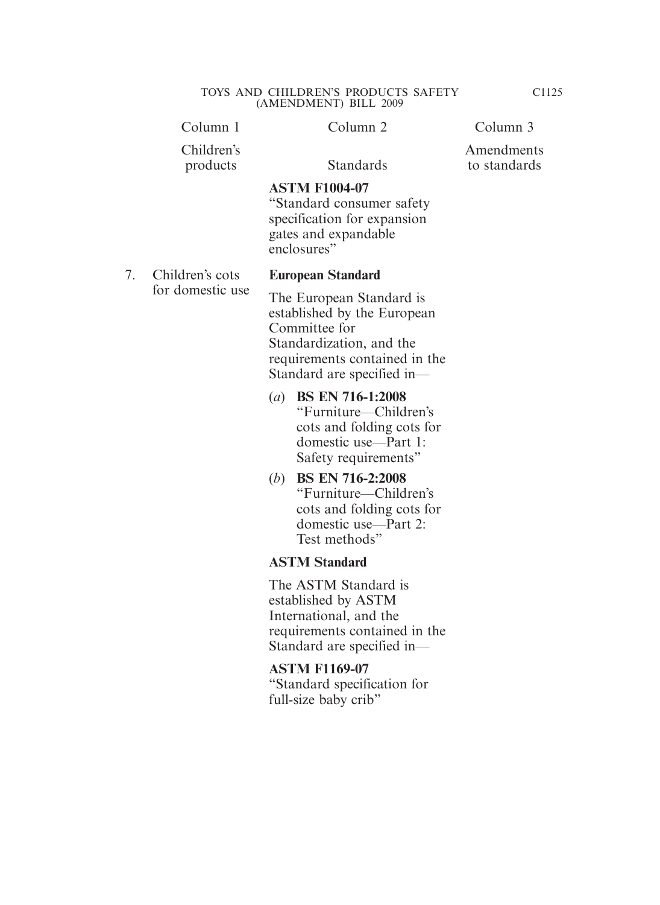|    | Column 1               | Column 2                                                                                                                                                            | Column 3                   |
|----|------------------------|---------------------------------------------------------------------------------------------------------------------------------------------------------------------|----------------------------|
|    | Children's<br>products | <b>Standards</b>                                                                                                                                                    | Amendments<br>to standards |
|    |                        | <b>ASTM F1004-07</b><br>"Standard consumer safety"<br>specification for expansion<br>gates and expandable<br>enclosures"                                            |                            |
| 7. | Children's cots        | <b>European Standard</b>                                                                                                                                            |                            |
|    | for domestic use       | The European Standard is<br>established by the European<br>Committee for<br>Standardization, and the<br>requirements contained in the<br>Standard are specified in- |                            |
|    |                        | (a) BS EN 716-1:2008<br>"Furniture—Children's<br>cots and folding cots for<br>domestic use—Part 1:<br>Safety requirements"                                          |                            |

(*b*) **BS EN 716-2:2008** "Furniture—Children's cots and folding cots for domestic use—Part 2: Test methods"

# **ASTM Standard**

The ASTM Standard is established by ASTM International, and the requirements contained in the Standard are specified in—

#### **ASTM F1169-07**

"Standard specification for full-size baby crib"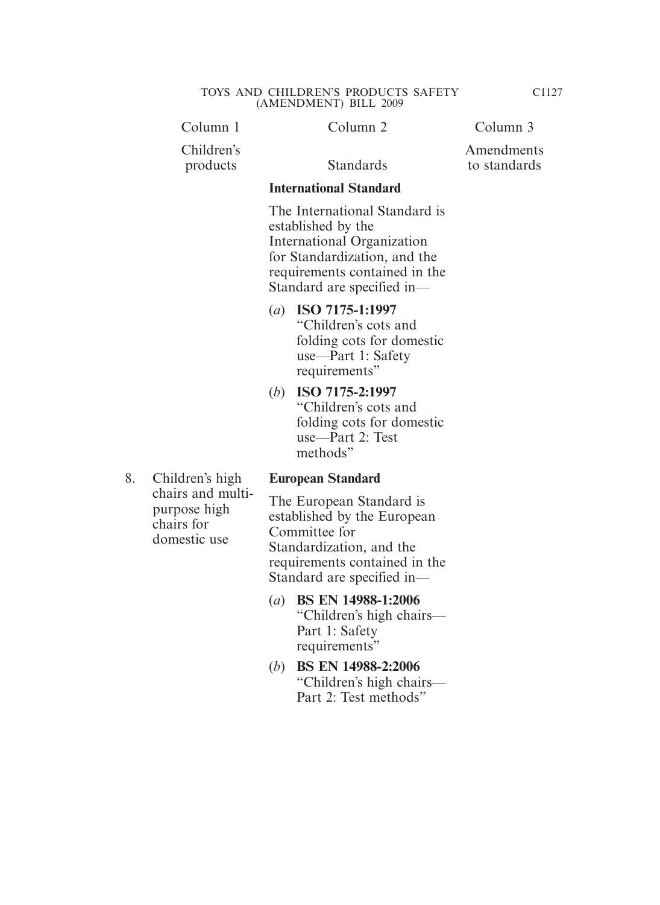| Column 1               | Column 2                      | Column 3                   |
|------------------------|-------------------------------|----------------------------|
| Children's<br>products | <b>Standards</b>              | Amendments<br>to standards |
|                        | <b>International Standard</b> |                            |
|                        | The International Standard is |                            |

established by the International Organization for Standardization, and the requirements contained in the Standard are specified in—

- (*a*) **ISO 7175-1:1997** "Children's cots and folding cots for domestic use—Part 1: Safety requirements"
- (*b*) **ISO 7175-2:1997** "Children's cots and folding cots for domestic use—Part 2: Test methods"
- 8. Children's high chairs and multipurpose high chairs for domestic use

#### **European Standard**

The European Standard is established by the European Committee for Standardization, and the requirements contained in the Standard are specified in—

- (*a*) **BS EN 14988-1:2006** "Children's high chairs— Part 1: Safety requirements"
- (*b*) **BS EN 14988-2:2006** "Children's high chairs— Part 2: Test methods"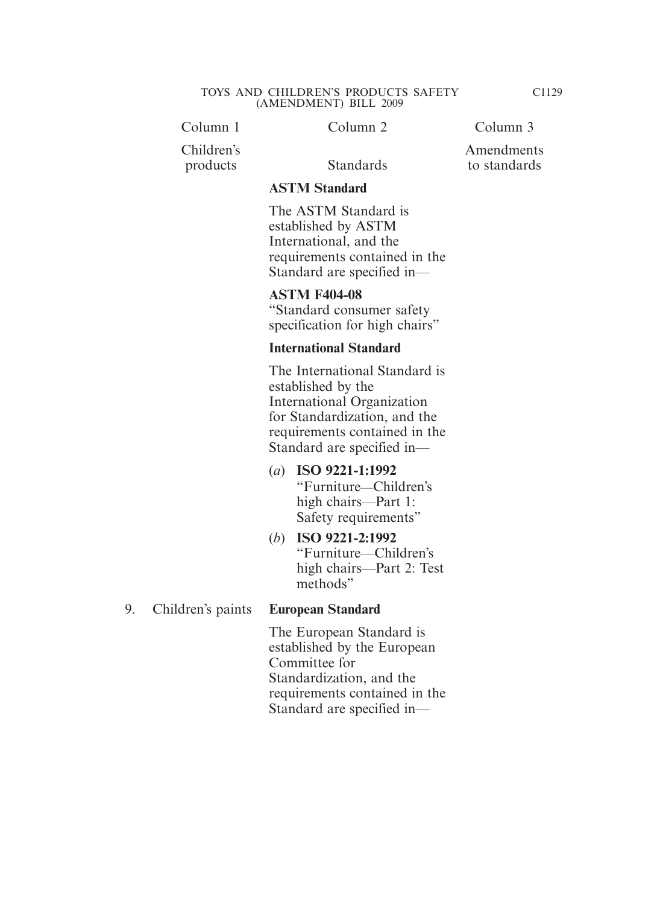Column 1 Column 2 Column 3

Children's products Standards

Amendments to standards

#### **ASTM Standard**

The ASTM Standard is established by ASTM International, and the requirements contained in the Standard are specified in—

# **ASTM F404-08**

"Standard consumer safety specification for high chairs"

#### **International Standard**

The International Standard is established by the International Organization for Standardization, and the requirements contained in the Standard are specified in—

- (*a*) **ISO 9221-1:1992** "Furniture—Children's high chairs—Part 1: Safety requirements"
- (*b*) **ISO 9221-2:1992** "Furniture—Children's high chairs—Part 2: Test methods"

#### 9. Children's paints **European Standard**

The European Standard is established by the European Committee for Standardization, and the requirements contained in the Standard are specified in—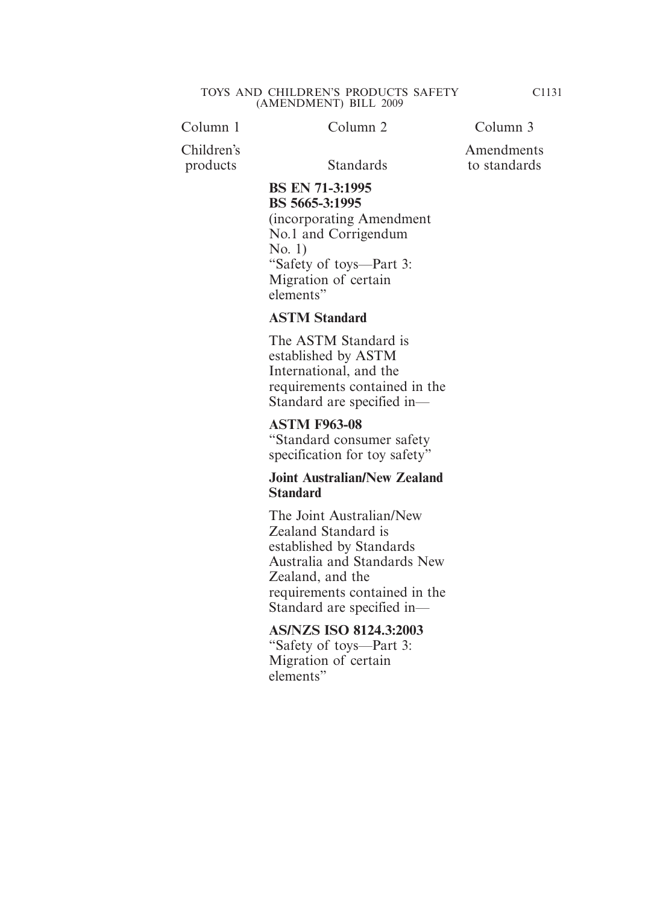Column 1 Column 2 Column 3

Children's products Standards

# Amendments to standards

# **BS EN 71-3:1995 BS 5665-3:1995**

(incorporating Amendment No.1 and Corrigendum No. 1) "Safety of toys—Part 3: Migration of certain elements"

#### **ASTM Standard**

The ASTM Standard is established by ASTM International, and the requirements contained in the Standard are specified in—

# **ASTM F963-08**

"Standard consumer safety specification for toy safety"

### **Joint Australian/New Zealand Standard**

The Joint Australian/New Zealand Standard is established by Standards Australia and Standards New Zealand, and the requirements contained in the Standard are specified in—

# **AS/NZS ISO 8124.3:2003**

"Safety of toys—Part 3: Migration of certain elements"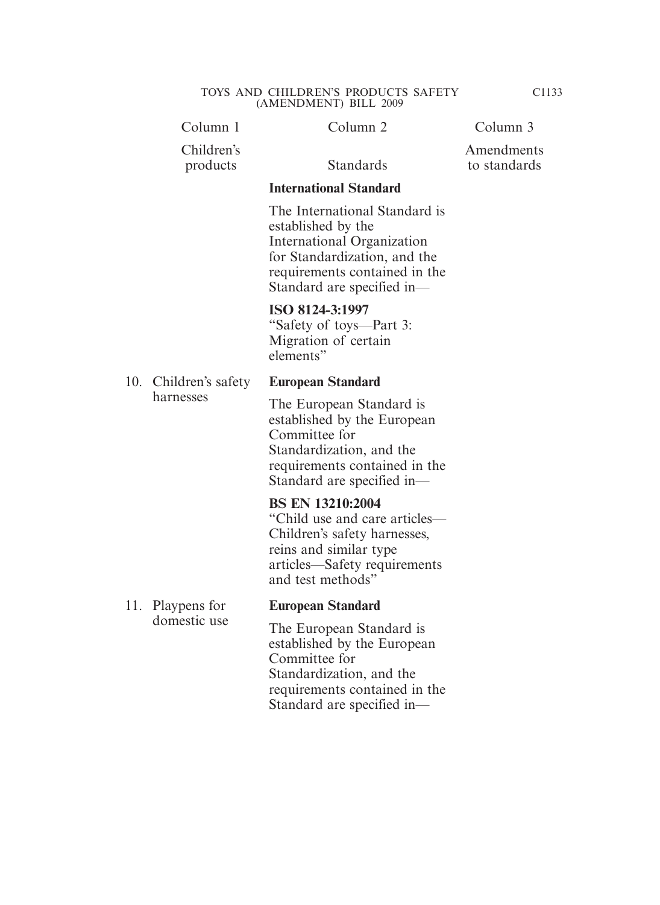|     | Column 1                           | Column 2                                                                                                                                                                         | Column 3                   |
|-----|------------------------------------|----------------------------------------------------------------------------------------------------------------------------------------------------------------------------------|----------------------------|
|     | Children's<br>products             | <b>Standards</b>                                                                                                                                                                 | Amendments<br>to standards |
|     |                                    | <b>International Standard</b>                                                                                                                                                    |                            |
|     |                                    | The International Standard is<br>established by the<br>International Organization<br>for Standardization, and the<br>requirements contained in the<br>Standard are specified in- |                            |
|     |                                    | ISO 8124-3:1997<br>"Safety of toys—Part 3:<br>Migration of certain<br>elements"                                                                                                  |                            |
|     | 10. Children's safety<br>harnesses | <b>European Standard</b>                                                                                                                                                         |                            |
|     |                                    | The European Standard is<br>established by the European<br>Committee for<br>Standardization, and the<br>requirements contained in the<br>Standard are specified in-              |                            |
|     |                                    | <b>BS EN 13210:2004</b><br>"Child use and care articles—<br>Children's safety harnesses,<br>reins and similar type<br>articles—Safety requirements<br>and test methods"          |                            |
| 11. | Playpens for                       | <b>European Standard</b>                                                                                                                                                         |                            |
|     | domestic use                       | The European Standard is<br>established by the European                                                                                                                          |                            |

established by the European Committee for Standardization, and the requirements contained in the Standard are specified in—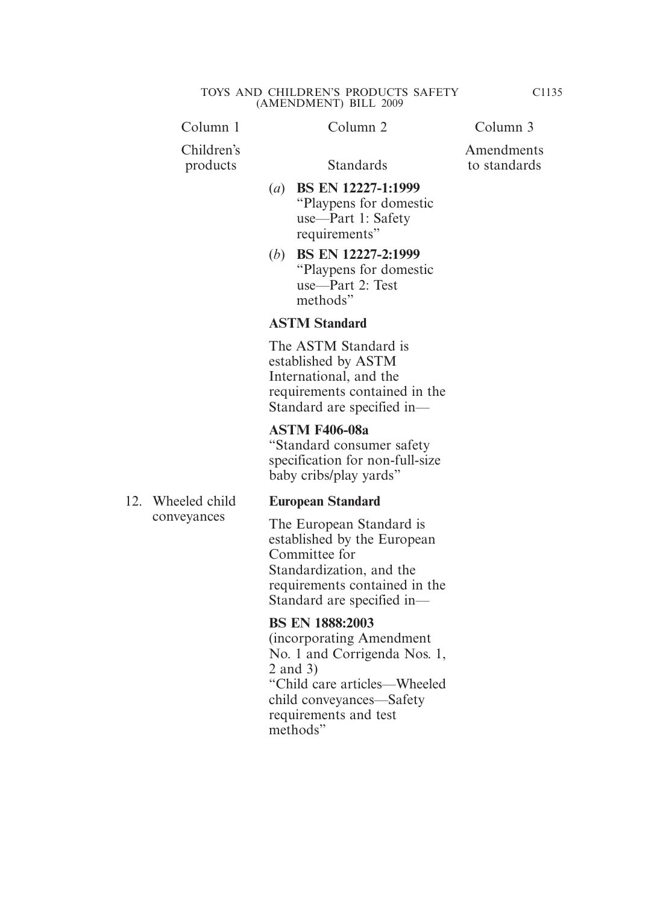| Children's<br>products | Standards                                                                                                                            | Ame<br>to st |
|------------------------|--------------------------------------------------------------------------------------------------------------------------------------|--------------|
|                        | BS EN 12227-1:1999<br>$\left( a\right)$<br>"Playpens for domestic"<br>use—Part 1: Safety<br>requirements"                            |              |
|                        | <b>BS EN 12227-2:1999</b><br>(b)<br>"Playpens for domestic"<br>use—Part 2: Test<br>methods"                                          |              |
|                        | <b>ASTM Standard</b>                                                                                                                 |              |
|                        | The ASTM Standard is<br>established by ASTM<br>International, and the<br>requirements contained in the<br>Standard are specified in— |              |
|                        | <b>ASTM F406-08a</b><br>"Standard consumer safety<br>specification for non-full-size                                                 |              |

12. Wheeled child conveyances

#### **European Standard**

baby cribs/play yards"

The European Standard is established by the European Committee for Standardization, and the requirements contained in the Standard are specified in—

**BS EN 1888:2003** (incorporating Amendment No. 1 and Corrigenda Nos. 1, 2 and 3) "Child care articles—Wheeled child conveyances—Safety requirements and test methods"

C1135

Amendments andards

#### Column 1 Column 2 Column 3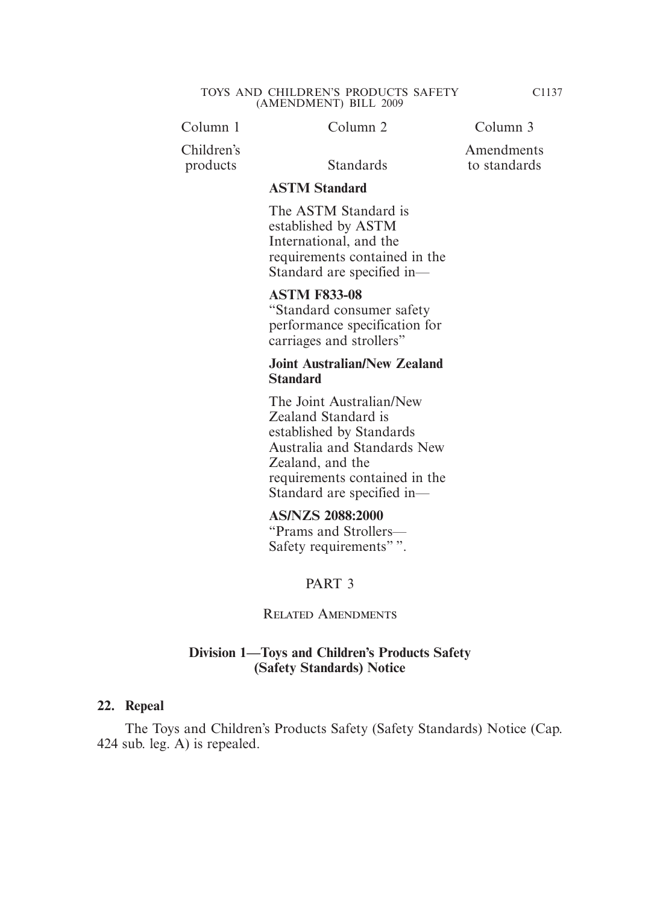Column 1 Column 2 Column 3

Children's products Standards

Amendments to standards

#### **ASTM Standard**

The ASTM Standard is established by ASTM International, and the requirements contained in the Standard are specified in—

#### **ASTM F833-08**

"Standard consumer safety performance specification for carriages and strollers"

#### **Joint Australian/New Zealand Standard**

The Joint Australian/New Zealand Standard is established by Standards Australia and Standards New Zealand, and the requirements contained in the Standard are specified in—

#### **AS/NZS 2088:2000**

"Prams and Strollers— Safety requirements"".

#### PART 3

#### Related Amendments

#### **Division 1—Toys and Children's Products Safety (Safety Standards) Notice**

#### **22. Repeal**

 The Toys and Children's Products Safety (Safety Standards) Notice (Cap. 424 sub. leg. A) is repealed.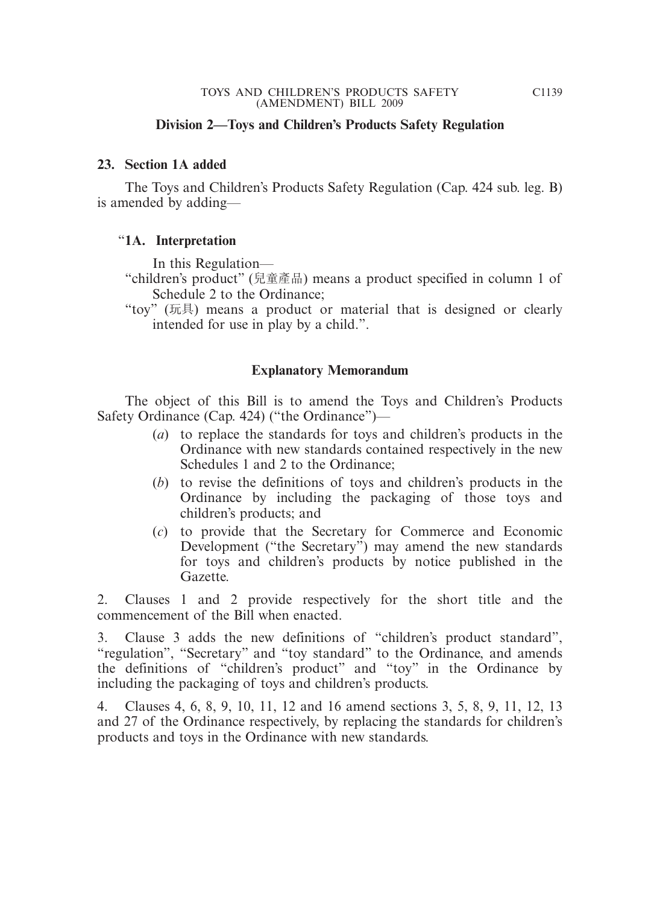#### **Division 2—Toys and Children's Products Safety Regulation**

#### **23. Section 1A added**

 The Toys and Children's Products Safety Regulation (Cap. 424 sub. leg. B) is amended by adding—

#### "**1A. Interpretation**

In this Regulation—

- "children's product" (兒童產品) means a product specified in column 1 of Schedule 2 to the Ordinance;
- "toy" (玩具) means a product or material that is designed or clearly intended for use in play by a child.".

#### **Explanatory Memorandum**

 The object of this Bill is to amend the Toys and Children's Products Safety Ordinance (Cap. 424) ("the Ordinance")—

- (*a*) to replace the standards for toys and children's products in the Ordinance with new standards contained respectively in the new Schedules 1 and 2 to the Ordinance;
- (*b*) to revise the definitions of toys and children's products in the Ordinance by including the packaging of those toys and children's products; and
- (*c*) to provide that the Secretary for Commerce and Economic Development ("the Secretary") may amend the new standards for toys and children's products by notice published in the Gazette.

2. Clauses 1 and 2 provide respectively for the short title and the commencement of the Bill when enacted.

3. Clause 3 adds the new definitions of "children's product standard", "regulation", "Secretary" and "toy standard" to the Ordinance, and amends the definitions of "children's product" and "toy" in the Ordinance by including the packaging of toys and children's products.

4. Clauses 4, 6, 8, 9, 10, 11, 12 and 16 amend sections 3, 5, 8, 9, 11, 12, 13 and 27 of the Ordinance respectively, by replacing the standards for children's products and toys in the Ordinance with new standards.